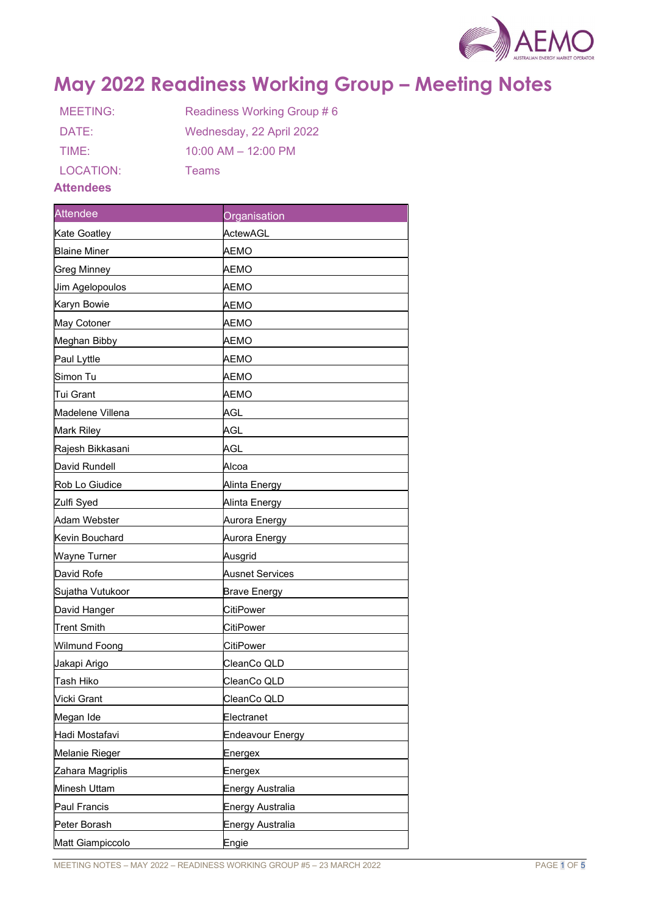

# May 2022 Readiness Working Group – Meeting Notes

| MEETING:                       | Readiness Working Group # 6 |
|--------------------------------|-----------------------------|
| DATE:                          | Wednesday, 22 April 2022    |
| TIME:                          | $10:00$ AM $- 12:00$ PM     |
| LOCATION:                      | <b>Teams</b>                |
| $A$ <sup><i>ttandeen</i></sup> |                             |

#### Attendees

| <b>Attendee</b>     | Organisation        |
|---------------------|---------------------|
| Kate Goatley        | ActewAGL            |
| <b>Blaine Miner</b> | AEMO                |
| <b>Greg Minney</b>  | АЕМО                |
| Jim Agelopoulos     | АЕМО                |
| Karyn Bowie         | AEMO                |
| May Cotoner         | AEMO                |
| Meghan Bibby        | АЕМО                |
| Paul Lyttle         | AEMO                |
| Simon Tu            | АЕМО                |
| Tui Grant           | AEMO                |
| Madelene Villena    | AGL                 |
| Mark Riley          | AGL                 |
| Rajesh Bikkasani    | AGL                 |
| David Rundell       | Alcoa               |
| Rob Lo Giudice      | Alinta Energy       |
| Zulfi Syed          | Alinta Energy       |
| Adam Webster        | Aurora Energy       |
| Kevin Bouchard      | Aurora Energy       |
| Wayne Turner        | Ausgrid             |
| David Rofe          | Ausnet Services     |
| Sujatha Vutukoor    | <b>Brave Energy</b> |
| David Hanger        | CitiPower           |
| <b>Trent Smith</b>  | CitiPower           |
| Wilmund Foong       | <b>CitiPower</b>    |
| Jakapi Arigo        | CleanCo QLD         |
| Tash Hiko           | CleanCo QLD         |
| Vicki Grant         | CleanCo QLD         |
| Megan Ide           | Electranet          |
| Hadi Mostafavi      | Endeavour Energy    |
| Melanie Rieger      | Energex             |
| Zahara Magriplis    | Energex             |
| Minesh Uttam        | Energy Australia    |
| Paul Francis        | Energy Australia    |
| Peter Borash        | Energy Australia    |
| Matt Giampiccolo    | Engie               |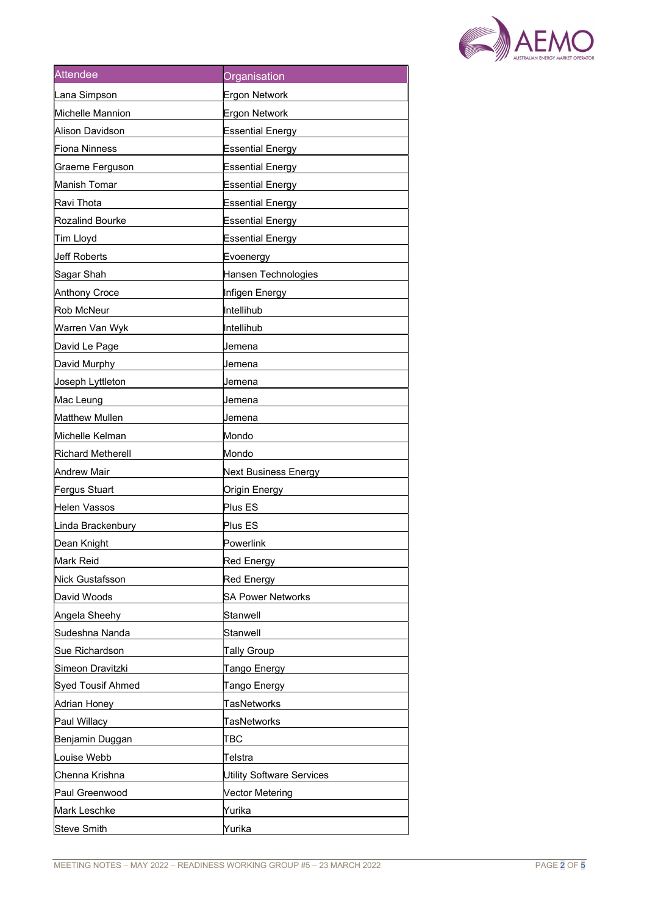

| <b>Attendee</b>          | Organisation              |
|--------------------------|---------------------------|
| Lana Simpson             | Ergon Network             |
| Michelle Mannion         | Ergon Network             |
| Alison Davidson          | Essential Energy          |
| <b>Fiona Ninness</b>     | <b>Essential Energy</b>   |
| Graeme Ferguson          | <b>Essential Energy</b>   |
| Manish Tomar             | <b>Essential Energy</b>   |
| Ravi Thota               | <b>Essential Energy</b>   |
| <b>Rozalind Bourke</b>   | Essential Energy          |
| Tim Lloyd                | <b>Essential Energy</b>   |
| <b>Jeff Roberts</b>      | Evoenergy                 |
| Sagar Shah               | Hansen Technologies       |
| <b>Anthony Croce</b>     | Infigen Energy            |
| <b>Rob McNeur</b>        | Intellihub                |
| Warren Van Wyk           | Intellihub                |
| David Le Page            | Jemena                    |
| David Murphy             | Jemena                    |
| Joseph Lyttleton         | Jemena                    |
| Mac Leung                | Jemena                    |
| Matthew Mullen           | Jemena                    |
| Michelle Kelman          | Mondo                     |
| <b>Richard Metherell</b> | Mondo                     |
| <b>Andrew Mair</b>       | Next Business Energy      |
| Fergus Stuart            | Origin Energy             |
| Helen Vassos             | Plus ES                   |
| Linda Brackenbury        | Plus ES                   |
| Dean Knight              | Powerlink                 |
| Mark Reid                | Red Energy                |
| Nick Gustafsson          | Red Energy                |
| David Woods              | <b>SA Power Networks</b>  |
| Angela Sheehy            | Stanwell                  |
| Sudeshna Nanda           | Stanwell                  |
| Sue Richardson           | <b>Tally Group</b>        |
| Simeon Dravitzki         | Tango Energy              |
| <b>Syed Tousif Ahmed</b> | Tango Energy              |
| Adrian Honey             | <b>TasNetworks</b>        |
| Paul Willacy             | TasNetworks               |
| Benjamin Duggan          | ∏ВС                       |
| Louise Webb              | ∏elstra                   |
| Chenna Krishna           | Utility Software Services |
| Paul Greenwood           | Vector Metering           |
| Mark Leschke             | Yurika                    |
| <b>Steve Smith</b>       | Yurika                    |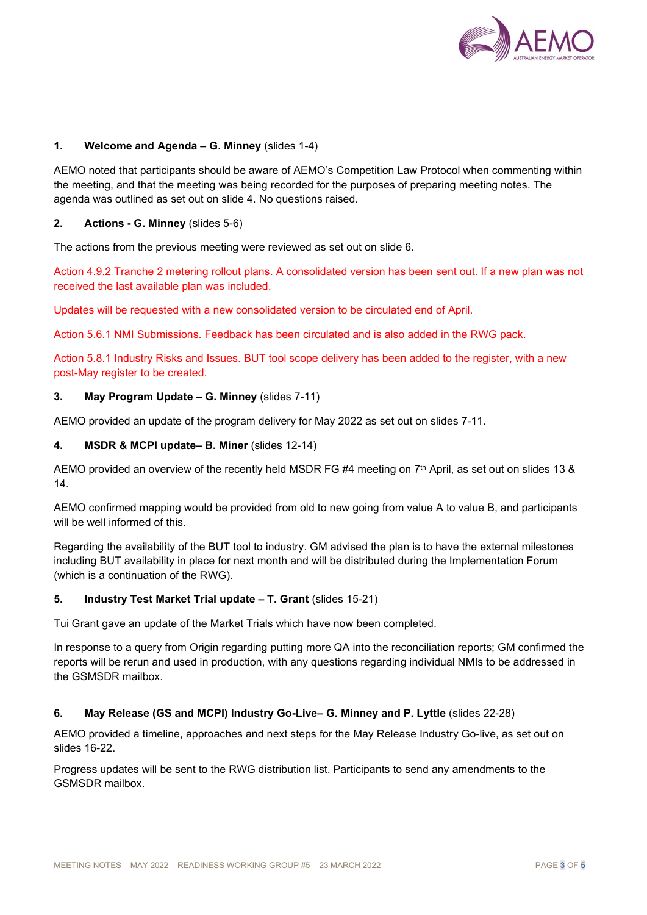

## 1. Welcome and Agenda – G. Minney (slides 1-4)

AEMO noted that participants should be aware of AEMO's Competition Law Protocol when commenting within the meeting, and that the meeting was being recorded for the purposes of preparing meeting notes. The agenda was outlined as set out on slide 4. No questions raised.

#### 2. Actions - G. Minney (slides 5-6)

The actions from the previous meeting were reviewed as set out on slide 6.

Action 4.9.2 Tranche 2 metering rollout plans. A consolidated version has been sent out. If a new plan was not received the last available plan was included.

Updates will be requested with a new consolidated version to be circulated end of April.

Action 5.6.1 NMI Submissions. Feedback has been circulated and is also added in the RWG pack.

Action 5.8.1 Industry Risks and Issues. BUT tool scope delivery has been added to the register, with a new post-May register to be created.

## 3. May Program Update – G. Minney (slides 7-11)

AEMO provided an update of the program delivery for May 2022 as set out on slides 7-11.

#### 4. MSDR & MCPI update– B. Miner (slides 12-14)

AEMO provided an overview of the recently held MSDR FG #4 meeting on 7<sup>th</sup> April, as set out on slides 13 & 14.

AEMO confirmed mapping would be provided from old to new going from value A to value B, and participants will be well informed of this.

Regarding the availability of the BUT tool to industry. GM advised the plan is to have the external milestones including BUT availability in place for next month and will be distributed during the Implementation Forum (which is a continuation of the RWG).

## 5. Industry Test Market Trial update – T. Grant (slides 15-21)

Tui Grant gave an update of the Market Trials which have now been completed.

In response to a query from Origin regarding putting more QA into the reconciliation reports; GM confirmed the reports will be rerun and used in production, with any questions regarding individual NMIs to be addressed in the GSMSDR mailbox.

## 6. May Release (GS and MCPI) Industry Go-Live– G. Minney and P. Lyttle (slides 22-28)

AEMO provided a timeline, approaches and next steps for the May Release Industry Go-live, as set out on slides 16-22.

Progress updates will be sent to the RWG distribution list. Participants to send any amendments to the GSMSDR mailbox.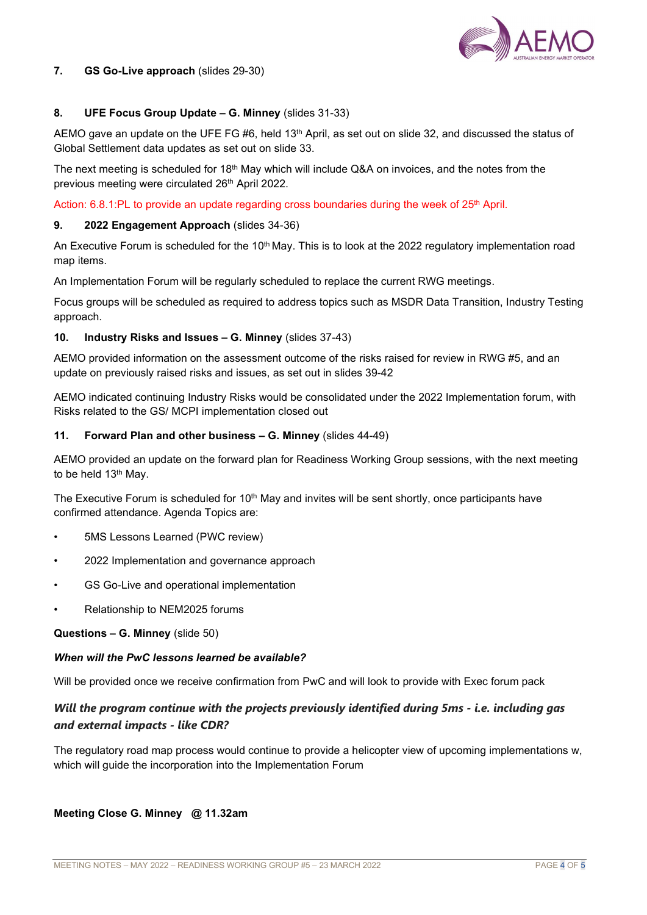

## 7. GS Go-Live approach (slides 29-30)

## 8. UFE Focus Group Update – G. Minney (slides 31-33)

AEMO gave an update on the UFE FG #6, held 13<sup>th</sup> April, as set out on slide 32, and discussed the status of Global Settlement data updates as set out on slide 33.

The next meeting is scheduled for 18<sup>th</sup> May which will include Q&A on invoices, and the notes from the previous meeting were circulated 26<sup>th</sup> April 2022.

Action: 6.8.1:PL to provide an update regarding cross boundaries during the week of  $25<sup>th</sup>$  April.

#### 9. 2022 Engagement Approach (slides 34-36)

An Executive Forum is scheduled for the 10<sup>th</sup> May. This is to look at the 2022 regulatory implementation road map items.

An Implementation Forum will be regularly scheduled to replace the current RWG meetings.

Focus groups will be scheduled as required to address topics such as MSDR Data Transition, Industry Testing approach.

#### 10. Industry Risks and Issues – G. Minney (slides 37-43)

AEMO provided information on the assessment outcome of the risks raised for review in RWG #5, and an update on previously raised risks and issues, as set out in slides 39-42

AEMO indicated continuing Industry Risks would be consolidated under the 2022 Implementation forum, with Risks related to the GS/ MCPI implementation closed out

#### 11. Forward Plan and other business – G. Minney (slides 44-49)

AEMO provided an update on the forward plan for Readiness Working Group sessions, with the next meeting to be held 13<sup>th</sup> May.

The Executive Forum is scheduled for 10<sup>th</sup> May and invites will be sent shortly, once participants have confirmed attendance. Agenda Topics are:

- 5MS Lessons Learned (PWC review)
- 2022 Implementation and governance approach
- GS Go-Live and operational implementation
- Relationship to NEM2025 forums

## Questions – G. Minney (slide 50)

#### When will the PwC lessons learned be available?

Will be provided once we receive confirmation from PwC and will look to provide with Exec forum pack

## Will the program continue with the projects previously identified during 5ms - i.e. including gas and external impacts - like CDR?

The regulatory road map process would continue to provide a helicopter view of upcoming implementations w, which will guide the incorporation into the Implementation Forum

## Meeting Close G. Minney @ 11.32am